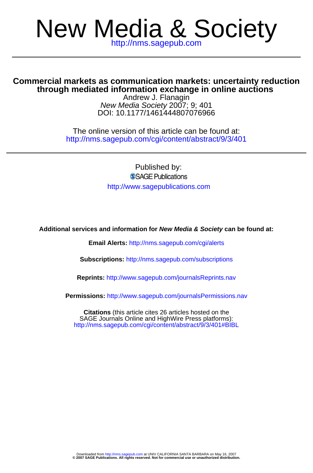# New Media & Society

# **through mediated information exchange in online auctions Commercial markets as communication markets: uncertainty reduction**

DOI: 10.1177/1461444807076966 New Media Society 2007; 9; 401 Andrew J. Flanagin

http://nms.sagepub.com/cgi/content/abstract/9/3/401 The online version of this article can be found at:

> Published by: SSAGE Publications http://www.sagepublications.com

#### **Additional services and information for New Media & Society can be found at:**

**Email Alerts:** <http://nms.sagepub.com/cgi/alerts>

**Subscriptions:** <http://nms.sagepub.com/subscriptions>

**Reprints:** <http://www.sagepub.com/journalsReprints.nav>

**Permissions:** <http://www.sagepub.com/journalsPermissions.nav>

<http://nms.sagepub.com/cgi/content/abstract/9/3/401#BIBL> SAGE Journals Online and HighWire Press platforms): **Citations** (this article cites 26 articles hosted on the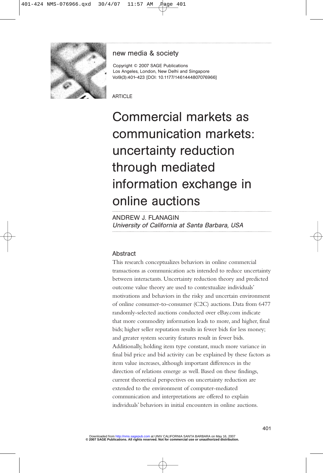

# new media & society

Copyright © 2007 SAGE Publications Los Angeles, London, New Delhi and Singapore Vol9(3):401–423 [DOI: 10.1177/1461444807076966]

**ARTICLE** 

# Commercial markets as communication markets: uncertainty reduction through mediated information exchange in online auctions

ANDREW J. FLANAGIN University of California at Santa Barbara, USA

# Abstract

This research conceptualizes behaviors in online commercial transactions as communication acts intended to reduce uncertainty between interactants. Uncertainty reduction theory and predicted outcome value theory are used to contextualize individuals' motivations and behaviors in the risky and uncertain environment of online consumer-to-consumer (C2C) auctions. Data from 6477 randomly-selected auctions conducted over eBay.com indicate that more commodity information leads to more, and higher, final bids; higher seller reputation results in fewer bids for less money; and greater system security features result in fewer bids. Additionally, holding item type constant, much more variance in final bid price and bid activity can be explained by these factors as item value increases, although important differences in the direction of relations emerge as well. Based on these findings, current theoretical perspectives on uncertainty reduction are extended to the environment of computer-mediated communication and interpretations are offered to explain individuals' behaviors in initial encounters in online auctions.

**© 2007 SAGE Publications. All rights reserved. Not for commercial use or unauthorized distribution.** Downloaded from<http://nms.sagepub.com>at UNIV CALIFORNIA SANTA BARBARA on May 16, 2007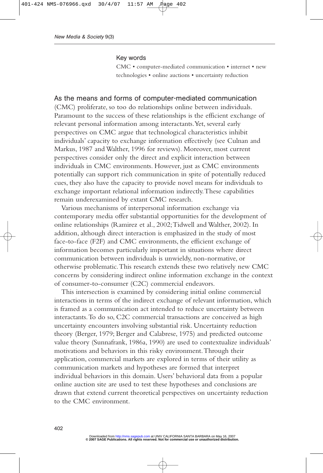#### Key words

CMC • computer-mediated communication • internet • new technologies • online auctions • uncertainty reduction

#### As the means and forms of computer-mediated communication

(CMC) proliferate, so too do relationships online between individuals. Paramount to the success of these relationships is the efficient exchange of relevant personal information among interactants.Yet, several early perspectives on CMC argue that technological characteristics inhibit individuals' capacity to exchange information effectively (see Culnan and Markus, 1987 and Walther, 1996 for reviews). Moreover, most current perspectives consider only the direct and explicit interaction between individuals in CMC environments. However, just as CMC environments potentially can support rich communication in spite of potentially reduced cues, they also have the capacity to provide novel means for individuals to exchange important relational information indirectly.These capabilities remain underexamined by extant CMC research.

Various mechanisms of interpersonal information exchange via contemporary media offer substantial opportunities for the development of online relationships (Ramirez et al., 2002;Tidwell and Walther, 2002). In addition, although direct interaction is emphasized in the study of most face-to-face (F2F) and CMC environments, the efficient exchange of information becomes particularly important in situations where direct communication between individuals is unwieldy, non-normative, or otherwise problematic.This research extends these two relatively new CMC concerns by considering indirect online information exchange in the context of consumer-to-consumer (C2C) commercial endeavors.

This intersection is examined by considering initial online commercial interactions in terms of the indirect exchange of relevant information, which is framed as a communication act intended to reduce uncertainty between interactants.To do so, C2C commercial transactions are conceived as high uncertainty encounters involving substantial risk. Uncertainty reduction theory (Berger, 1979; Berger and Calabrese, 1975) and predicted outcome value theory (Sunnafrank, 1986a, 1990) are used to contextualize individuals' motivations and behaviors in this risky environment.Through their application, commercial markets are explored in terms of their utility as communication markets and hypotheses are formed that interpret individual behaviors in this domain. Users' behavioral data from a popular online auction site are used to test these hypotheses and conclusions are drawn that extend current theoretical perspectives on uncertainty reduction to the CMC environment.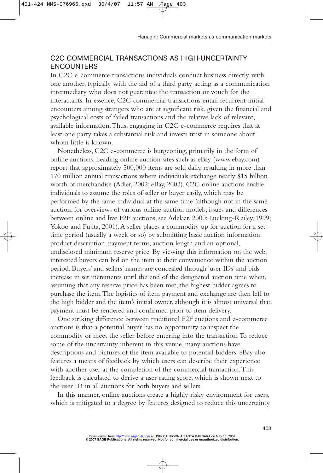# C2C COMMERCIAL TRANSACTIONS AS HIGH-UNCERTAINTY ENCOUNTERS

In C2C e-commerce transactions individuals conduct business directly with one another, typically with the aid of a third party acting as a communication intermediary who does not guarantee the transaction or vouch for the interactants. In essence, C2C commercial transactions entail recurrent initial encounters among strangers who are at significant risk, given the financial and psychological costs of failed transactions and the relative lack of relevant, available information.Thus, engaging in C2C e-commerce requires that at least one party takes a substantial risk and invests trust in someone about whom little is known.

Nonetheless, C2C e-commerce is burgeoning, primarily in the form of online auctions. Leading online auction sites such as eBay (www.ebay.com) report that approximately 500,000 items are sold daily, resulting in more than 170 million annual transactions where individuals exchange nearly \$15 billion worth of merchandise (Adler, 2002; eBay, 2003). C2C online auctions enable individuals to assume the roles of seller or buyer easily, which may be performed by the same individual at the same time (although not in the same auction; for overviews of various online auction models, issues and differences between online and live F2F auctions, see Adelaar, 2000; Lucking-Reiley, 1999; Yokoo and Fujita, 2001).A seller places a commodity up for auction for a set time period (usually a week or so) by submitting basic auction information: product description, payment terms, auction length and an optional, undisclosed minimum reserve price. By viewing this information on the web, interested buyers can bid on the item at their convenience within the auction period. Buyers' and sellers' names are concealed through 'user IDs' and bids increase in set increments until the end of the designated auction time when, assuming that any reserve price has been met, the highest bidder agrees to purchase the item.The logistics of item payment and exchange are then left to the high bidder and the item's initial owner, although it is almost universal that payment must be rendered and confirmed prior to item delivery.

One striking difference between traditional F2F auctions and e-commerce auctions is that a potential buyer has no opportunity to inspect the commodity or meet the seller before entering into the transaction.To reduce some of the uncertainty inherent in this venue, many auctions have descriptions and pictures of the item available to potential bidders. eBay also features a means of feedback by which users can describe their experience with another user at the completion of the commercial transaction.This feedback is calculated to derive a user rating score, which is shown next to the user ID in all auctions for both buyers and sellers.

In this manner, online auctions create a highly risky environment for users, which is mitigated to a degree by features designed to reduce this uncertainty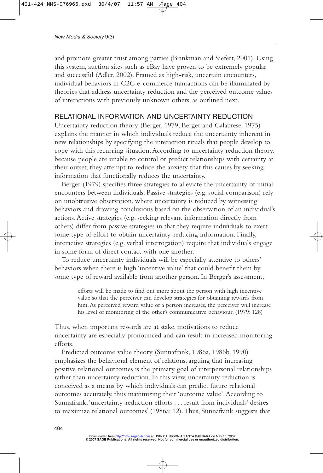and promote greater trust among parties (Brinkman and Siefert, 2001). Using this system, auction sites such as eBay have proven to be extremely popular and successful (Adler, 2002). Framed as high-risk, uncertain encounters, individual behaviors in C2C e-commerce transactions can be illuminated by theories that address uncertainty reduction and the perceived outcome values of interactions with previously unknown others, as outlined next.

# RELATIONAL INFORMATION AND UNCERTAINTY REDUCTION

Uncertainty reduction theory (Berger, 1979; Berger and Calabrese, 1975) explains the manner in which individuals reduce the uncertainty inherent in new relationships by specifying the interaction rituals that people develop to cope with this recurring situation.According to uncertainty reduction theory, because people are unable to control or predict relationships with certainty at their outset, they attempt to reduce the anxiety that this causes by seeking information that functionally reduces the uncertainty.

Berger (1979) specifies three strategies to alleviate the uncertainty of initial encounters between individuals. Passive strategies (e.g. social comparison) rely on unobtrusive observation, where uncertainty is reduced by witnessing behaviors and drawing conclusions based on the observation of an individual's actions.Active strategies (e.g. seeking relevant information directly from others) differ from passive strategies in that they require individuals to exert some type of effort to obtain uncertainty-reducing information. Finally, interactive strategies (e.g. verbal interrogation) require that individuals engage in some form of direct contact with one another.

To reduce uncertainty individuals will be especially attentive to others' behaviors when there is high 'incentive value' that could benefit them by some type of reward available from another person. In Berger's assessment,

> efforts will be made to find out more about the person with high incentive value so that the perceiver can develop strategies for obtaining rewards from him.As perceived reward value of a person increases, the perceiver will increase his level of monitoring of the other's communicative behaviour. (1979: 128)

Thus, when important rewards are at stake, motivations to reduce uncertainty are especially pronounced and can result in increased monitoring efforts.

Predicted outcome value theory (Sunnafrank, 1986a, 1986b, 1990) emphasizes the behavioral element of relations, arguing that increasing positive relational outcomes is the primary goal of interpersonal relationships rather than uncertainty reduction. In this view, uncertainty reduction is conceived as a means by which individuals can predict future relational outcomes accurately, thus maximizing their 'outcome value'.According to Sunnafrank,'uncertainty-reduction efforts . . . result from individuals' desires to maximize relational outcomes' (1986a: 12).Thus, Sunnafrank suggests that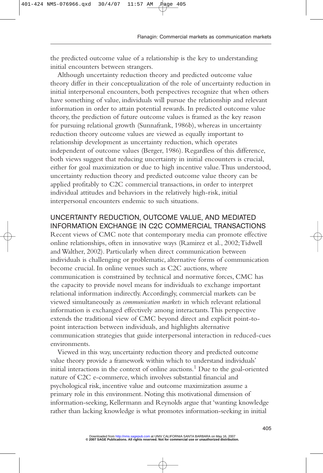the predicted outcome value of a relationship is the key to understanding initial encounters between strangers.

Although uncertainty reduction theory and predicted outcome value theory differ in their conceptualization of the role of uncertainty reduction in initial interpersonal encounters, both perspectives recognize that when others have something of value, individuals will pursue the relationship and relevant information in order to attain potential rewards. In predicted outcome value theory, the prediction of future outcome values is framed as the key reason for pursuing relational growth (Sunnafrank, 1986b), whereas in uncertainty reduction theory outcome values are viewed as equally important to relationship development as uncertainty reduction, which operates independent of outcome values (Berger, 1986). Regardless of this difference, both views suggest that reducing uncertainty in initial encounters is crucial, either for goal maximization or due to high incentive value.Thus understood, uncertainty reduction theory and predicted outcome value theory can be applied profitably to C2C commercial transactions, in order to interpret individual attitudes and behaviors in the relatively high-risk, initial interpersonal encounters endemic to such situations.

# UNCERTAINTY REDUCTION, OUTCOME VALUE, AND MEDIATED INFORMATION EXCHANGE IN C2C COMMERCIAL TRANSACTIONS

Recent views of CMC note that contemporary media can promote effective online relationships, often in innovative ways (Ramirez et al., 2002;Tidwell and Walther, 2002). Particularly when direct communication between individuals is challenging or problematic, alternative forms of communication become crucial. In online venues such as C2C auctions, where communication is constrained by technical and normative forces, CMC has the capacity to provide novel means for individuals to exchange important relational information indirectly.Accordingly, commercial markets can be viewed simultaneously as *communication markets* in which relevant relational information is exchanged effectively among interactants.This perspective extends the traditional view of CMC beyond direct and explicit point-topoint interaction between individuals, and highlights alternative communication strategies that guide interpersonal interaction in reduced-cues environments.

Viewed in this way, uncertainty reduction theory and predicted outcome value theory provide a framework within which to understand individuals' initial interactions in the context of online auctions.<sup>1</sup> Due to the goal-oriented nature of C2C e-commerce, which involves substantial financial and psychological risk, incentive value and outcome maximization assume a primary role in this environment. Noting this motivational dimension of information-seeking, Kellermann and Reynolds argue that 'wanting knowledge rather than lacking knowledge is what promotes information-seeking in initial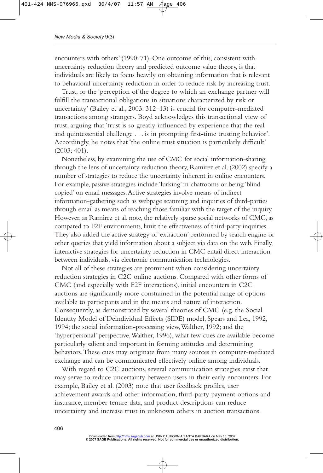encounters with others' (1990: 71). One outcome of this, consistent with uncertainty reduction theory and predicted outcome value theory, is that individuals are likely to focus heavily on obtaining information that is relevant to behavioral uncertainty reduction in order to reduce risk by increasing trust.

Trust, or the 'perception of the degree to which an exchange partner will fulfill the transactional obligations in situations characterized by risk or uncertainty' (Bailey et al., 2003: 312–13) is crucial for computer-mediated transactions among strangers. Boyd acknowledges this transactional view of trust, arguing that 'trust is so greatly influenced by experience that the real and quintessential challenge . . . is in prompting first-time trusting behavior'. Accordingly, he notes that 'the online trust situation is particularly difficult' (2003: 401).

Nonetheless, by examining the use of CMC for social information-sharing through the lens of uncertainty reduction theory, Ramirez et al. (2002) specify a number of strategies to reduce the uncertainty inherent in online encounters. For example, passive strategies include 'lurking' in chatrooms or being 'blind copied' on email messages.Active strategies involve means of indirect information-gathering such as webpage scanning and inquiries of third-parties through email as means of reaching those familiar with the target of the inquiry. However, as Ramirez et al. note, the relatively sparse social networks of CMC, as compared to F2F environments, limit the effectiveness of third-party inquiries. They also added the active strategy of 'extraction' performed by search engine or other queries that yield information about a subject via data on the web. Finally, interactive strategies for uncertainty reduction in CMC entail direct interaction between individuals, via electronic communication technologies.

Not all of these strategies are prominent when considering uncertainty reduction strategies in C2C online auctions. Compared with other forms of CMC (and especially with F2F interactions), initial encounters in C2C auctions are significantly more constrained in the potential range of options available to participants and in the means and nature of interaction. Consequently, as demonstrated by several theories of CMC (e.g. the Social Identity Model of Deindividual Effects (SIDE) model, Spears and Lea, 1992, 1994; the social information-processing view,Walther, 1992; and the 'hyperpersonal' perspective,Walther, 1996), what few cues are available become particularly salient and important in forming attitudes and determining behaviors.These cues may originate from many sources in computer-mediated exchange and can be communicated effectively online among individuals.

With regard to C2C auctions, several communication strategies exist that may serve to reduce uncertainty between users in their early encounters. For example, Bailey et al. (2003) note that user feedback profiles, user achievement awards and other information, third-party payment options and insurance, member tenure data, and product descriptions can reduce uncertainty and increase trust in unknown others in auction transactions.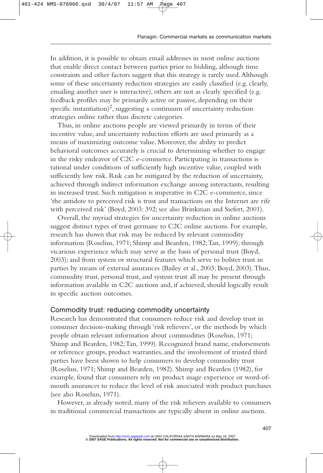In addition, it is possible to obtain email addresses in most online auctions that enable direct contact between parties prior to bidding, although time constraints and other factors suggest that this strategy is rarely used.Although some of these uncertainty reduction strategies are easily classified (e.g. clearly, emailing another user is interactive), others are not as clearly specified (e.g. feedback profiles may be primarily active or passive, depending on their specific instantiation)<sup>2</sup>, suggesting a continuum of uncertainty reduction strategies online rather than discrete categories.

Thus, in online auctions people are viewed primarily in terms of their incentive value, and uncertainty reduction efforts are used primarily as a means of maximizing outcome value. Moreover, the ability to predict behavioral outcomes accurately is crucial to determining whether to engage in the risky endeavor of C2C e-commerce. Participating in transactions is rational under conditions of sufficiently high incentive value, coupled with sufficiently low risk. Risk can be mitigated by the reduction of uncertainty, achieved through indirect information exchange among interactants, resulting in increased trust. Such mitigation is imperative in C2C e-commerce, since 'the antidote to perceived risk is trust and transactions on the Internet are rife with perceived risk' (Boyd, 2003: 392; see also Brinkman and Siefert, 2001).

Overall, the myriad strategies for uncertainty reduction in online auctions suggest distinct types of trust germane to C2C online auctions. For example, research has shown that risk may be reduced by relevant commodity information (Roselius, 1971; Shimp and Bearden, 1982;Tan, 1999); through vicarious experience which may serve as the basis of personal trust (Boyd, 2003); and from system or structural features which serve to bolster trust in parties by means of external assurances (Bailey et al., 2003; Boyd, 2003).Thus, commodity trust, personal trust, and system trust all may be present through information available in C2C auctions and, if achieved, should logically result in specific auction outcomes.

#### Commodity trust: reducing commodity uncertainty

Research has demonstrated that consumers reduce risk and develop trust in consumer decision-making through 'risk relievers', or the methods by which people obtain relevant information about commodities (Roselius, 1971; Shimp and Bearden, 1982; Tan, 1999). Recognized brand name, endorsements or reference groups, product warranties, and the involvement of trusted third parties have been shown to help consumers to develop commodity trust (Roselius, 1971; Shimp and Bearden, 1982). Shimp and Bearden (1982), for example, found that consumers rely on product usage experience or word-ofmouth assurances to reduce the level of risk associated with product purchases (see also Roselius, 1971).

However, as already noted, many of the risk relievers available to consumers in traditional commercial transactions are typically absent in online auctions.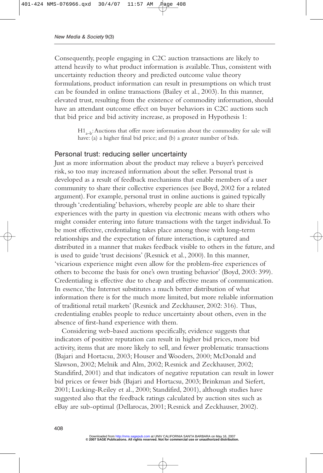Consequently, people engaging in C2C auction transactions are likely to attend heavily to what product information is available.Thus, consistent with uncertainty reduction theory and predicted outcome value theory formulations, product information can result in presumptions on which trust can be founded in online transactions (Bailey et al., 2003). In this manner, elevated trust, resulting from the existence of commodity information, should have an attendant outcome effect on buyer behaviors in C2C auctions such that bid price and bid activity increase, as proposed in Hypothesis 1:

> $H1_{a-b}$ : Auctions that offer more information about the commodity for sale will have: (a) a higher final bid price; and (b) a greater number of bids.

#### Personal trust: reducing seller uncertainty

Just as more information about the product may relieve a buyer's perceived risk, so too may increased information about the seller. Personal trust is developed as a result of feedback mechanisms that enable members of a user community to share their collective experiences (see Boyd, 2002 for a related argument). For example, personal trust in online auctions is gained typically through 'credentialing' behaviors, whereby people are able to share their experiences with the party in question via electronic means with others who might consider entering into future transactions with the target individual.To be most effective, credentialing takes place among those with long-term relationships and the expectation of future interaction, is captured and distributed in a manner that makes feedback visible to others in the future, and is used to guide 'trust decisions' (Resnick et al., 2000). In this manner, 'vicarious experience might even allow for the problem-free experiences of others to become the basis for one's own trusting behavior' (Boyd, 2003: 399). Credentialing is effective due to cheap and effective means of communication. In essence,'the Internet substitutes a much better distribution of what information there is for the much more limited, but more reliable information of traditional retail markets' (Resnick and Zeckhauser, 2002: 316). Thus, credentialing enables people to reduce uncertainty about others, even in the absence of first-hand experience with them.

Considering web-based auctions specifically, evidence suggests that indicators of positive reputation can result in higher bid prices, more bid activity, items that are more likely to sell, and fewer problematic transactions (Bajari and Hortacsu, 2003; Houser and Wooders, 2000; McDonald and Slawson, 2002; Melnik and Alm, 2002; Resnick and Zeckhauser, 2002; Standifird, 2001) and that indicators of negative reputation can result in lower bid prices or fewer bids (Bajari and Hortacsu, 2003; Brinkman and Siefert, 2001; Lucking-Reiley et al., 2000; Standifird, 2001), although studies have suggested also that the feedback ratings calculated by auction sites such as eBay are sub-optimal (Dellarocas, 2001; Resnick and Zeckhauser, 2002).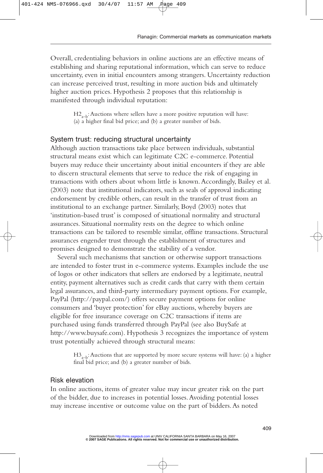Overall, credentialing behaviors in online auctions are an effective means of establishing and sharing reputational information, which can serve to reduce uncertainty, even in initial encounters among strangers. Uncertainty reduction can increase perceived trust, resulting in more auction bids and ultimately higher auction prices. Hypothesis 2 proposes that this relationship is manifested through individual reputation:

> $H2_{a-b}$ : Auctions where sellers have a more positive reputation will have: (a) a higher final bid price; and (b) a greater number of bids.

#### System trust: reducing structural uncertainty

Although auction transactions take place between individuals, substantial structural means exist which can legitimate C2C e-commerce. Potential buyers may reduce their uncertainty about initial encounters if they are able to discern structural elements that serve to reduce the risk of engaging in transactions with others about whom little is known.Accordingly, Bailey et al. (2003) note that institutional indicators, such as seals of approval indicating endorsement by credible others, can result in the transfer of trust from an institutional to an exchange partner. Similarly, Boyd (2003) notes that 'institution-based trust' is composed of situational normality and structural assurances. Situational normality rests on the degree to which online transactions can be tailored to resemble similar, offline transactions. Structural assurances engender trust through the establishment of structures and promises designed to demonstrate the stability of a vendor.

Several such mechanisms that sanction or otherwise support transactions are intended to foster trust in e-commerce systems. Examples include the use of logos or other indicators that sellers are endorsed by a legitimate, neutral entity, payment alternatives such as credit cards that carry with them certain legal assurances, and third-party intermediary payment options. For example, PayPal ([http://paypal.com/\)](http://paypal.com/) offers secure payment options for online consumers and 'buyer protection' for eBay auctions, whereby buyers are eligible for free insurance coverage on C2C transactions if items are purchased using funds transferred through PayPal (see also BuySafe at <http://www.buysafe.com>). Hypothesis 3 recognizes the importance of system trust potentially achieved through structural means:

> $H3_{a-b}$ : Auctions that are supported by more secure systems will have: (a) a higher final bid price; and (b) a greater number of bids.

#### Risk elevation

In online auctions, items of greater value may incur greater risk on the part of the bidder, due to increases in potential losses.Avoiding potential losses may increase incentive or outcome value on the part of bidders.As noted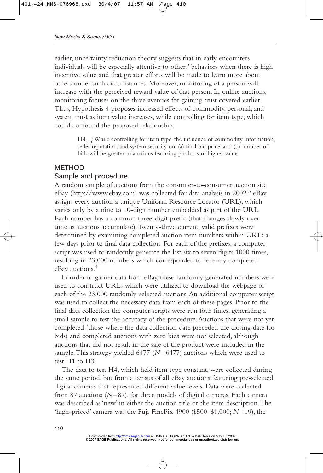earlier, uncertainty reduction theory suggests that in early encounters individuals will be especially attentive to others' behaviors when there is high incentive value and that greater efforts will be made to learn more about others under such circumstances. Moreover, monitoring of a person will increase with the perceived reward value of that person. In online auctions, monitoring focuses on the three avenues for gaining trust covered earlier. Thus, Hypothesis 4 proposes increased effects of commodity, personal, and system trust as item value increases, while controlling for item type, which could confound the proposed relationship:

> $H4_{a-b}$ : While controlling for item type, the influence of commodity information, seller reputation, and system security on: (a) final bid price; and (b) number of bids will be greater in auctions featuring products of higher value.

#### METHOD

#### Sample and procedure

A random sample of auctions from the consumer-to-consumer auction site eBay [\(http://www.ebay.com\)](http://www.ebay.com) was collected for data analysis in 2002.<sup>3</sup> eBay assigns every auction a unique Uniform Resource Locator (URL), which varies only by a nine to 10-digit number embedded as part of the URL. Each number has a common three-digit prefix (that changes slowly over time as auctions accumulate).Twenty-three current, valid prefixes were determined by examining completed auction item numbers within URLs a few days prior to final data collection. For each of the prefixes, a computer script was used to randomly generate the last six to seven digits 1000 times, resulting in 23,000 numbers which corresponded to recently completed eBay auctions.<sup>4</sup>

In order to garner data from eBay, these randomly generated numbers were used to construct URLs which were utilized to download the webpage of each of the 23,000 randomly-selected auctions.An additional computer script was used to collect the necessary data from each of these pages. Prior to the final data collection the computer scripts were run four times, generating a small sample to test the accuracy of the procedure. Auctions that were not yet completed (those where the data collection date preceded the closing date for bids) and completed auctions with zero bids were not selected, although auctions that did not result in the sale of the product were included in the sample. This strategy yielded 6477 ( $N=6477$ ) auctions which were used to test H1 to H3.

The data to test H4, which held item type constant, were collected during the same period, but from a census of all eBay auctions featuring pre-selected digital cameras that represented different value levels. Data were collected from 87 auctions  $(N=87)$ , for three models of digital cameras. Each camera was described as 'new' in either the auction title or the item description.The 'high-priced' camera was the Fuji FinePix 4900 ( $$500-\$1,000; N=19$ ), the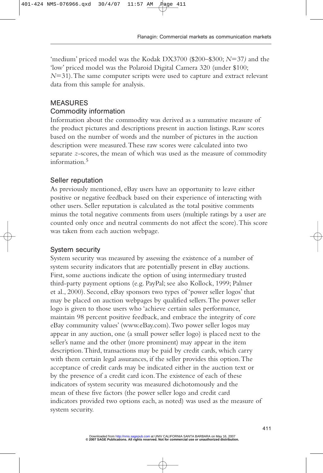'medium' priced model was the Kodak DX3700 (\$200–\$300;  $N=37$ ) and the 'low' priced model was the Polaroid Digital Camera 320 (under \$100; *N*=31). The same computer scripts were used to capture and extract relevant data from this sample for analysis.

#### MEASURES

#### Commodity information

Information about the commodity was derived as a summative measure of the product pictures and descriptions present in auction listings. Raw scores based on the number of words and the number of pictures in the auction description were measured.These raw scores were calculated into two separate *z*-scores, the mean of which was used as the measure of commodity information.5

# Seller reputation

As previously mentioned, eBay users have an opportunity to leave either positive or negative feedback based on their experience of interacting with other users. Seller reputation is calculated as the total positive comments minus the total negative comments from users (multiple ratings by a user are counted only once and neutral comments do not affect the score).This score was taken from each auction webpage.

# System security

System security was measured by assessing the existence of a number of system security indicators that are potentially present in eBay auctions. First, some auctions indicate the option of using intermediary trusted third-party payment options (e.g. PayPal; see also Kollock, 1999; Palmer et al., 2000). Second, eBay sponsors two types of 'power seller logos' that may be placed on auction webpages by qualified sellers.The power seller logo is given to those users who 'achieve certain sales performance, maintain 98 percent positive feedback, and embrace the integrity of core eBay community values' (www.eBay.com).Two power seller logos may appear in any auction, one (a small power seller logo) is placed next to the seller's name and the other (more prominent) may appear in the item description.Third, transactions may be paid by credit cards, which carry with them certain legal assurances, if the seller provides this option.The acceptance of credit cards may be indicated either in the auction text or by the presence of a credit card icon.The existence of each of these indicators of system security was measured dichotomously and the mean of these five factors (the power seller logo and credit card indicators provided two options each, as noted) was used as the measure of system security.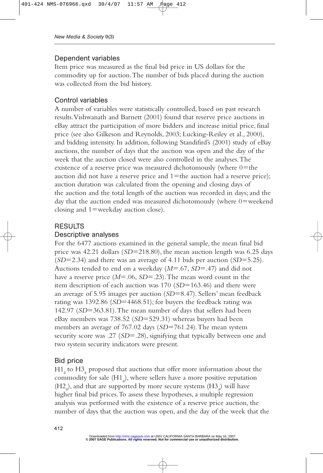# Dependent variables

Item price was measured as the final bid price in US dollars for the commodity up for auction.The number of bids placed during the auction was collected from the bid history.

# Control variables

A number of variables were statistically controlled, based on past research results.Vishwanath and Barnett (2001) found that reserve price auctions in eBay attract the participation of more bidders and increase initial price, final price (see also Gilkeson and Reynolds, 2003; Lucking-Reiley et al., 2000), and bidding intensity. In addition, following Standifird's (2001) study of eBay auctions, the number of days that the auction was open and the day of the week that the auction closed were also controlled in the analyses.The existence of a reserve price was measured dichotomously (where  $0$ =the auction did not have a reserve price and  $1$ =the auction had a reserve price); auction duration was calculated from the opening and closing days of the auction and the total length of the auction was recorded in days; and the day that the auction ended was measured dichotomously (where  $0$ =weekend closing and  $1$ =weekday auction close).

# RESULTS

# Descriptive analyses

For the 6477 auctions examined in the general sample, the mean final bid price was 42.21 dollars (*SD*=218.80), the mean auction length was 6.25 days (*SD*=2.34) and there was an average of 4.11 bids per auction (*SD*=5.25). Auctions tended to end on a weekday ( $M = .67$ ,  $SD = .47$ ) and did not have a reserve price  $(M=0.06, SD=0.23)$ . The mean word count in the item description of each auction was  $170$  (*SD*=163.46) and there were an average of 5.95 images per auction (*SD*=8.47). Sellers' mean feedback rating was  $1392.86$  (*SD*=4468.51); for buyers the feedback rating was 142.97 (*SD*=363.81). The mean number of days that sellers had been eBay members was 738.52 (*SD*=529.31) whereas buyers had been members an average of 767.02 days (*SD*=761.24). The mean system security score was .27 (SD=.28), signifying that typically between one and two system security indicators were present.

# Bid price

 $H1_a$  to  $H3_a$  proposed that auctions that offer more information about the commodity for sale  $(H1_a)$ , where sellers have a more positive reputation  $(H2_a)$ , and that are supported by more secure systems  $(H3_a)$  will have higher final bid prices.To assess these hypotheses, a multiple regression analysis was performed with the existence of a reserve price auction, the number of days that the auction was open, and the day of the week that the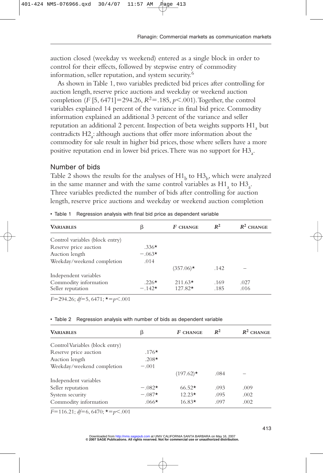auction closed (weekday vs weekend) entered as a single block in order to control for their effects, followed by stepwise entry of commodity information, seller reputation, and system security.<sup>6</sup>

As shown in Table 1, two variables predicted bid prices after controlling for auction length, reserve price auctions and weekday or weekend auction completion (*F* [5, 6471]=294.26,  $R^2$ =.185,  $p$ <.001). Together, the control variables explained 14 percent of the variance in final bid price. Commodity information explained an additional 3 percent of the variance and seller reputation an additional 2 percent. Inspection of beta weights supports  $H1$ <sub>2</sub> but contradicts  $H2_a$ : although auctions that offer more information about the commodity for sale result in higher bid prices, those where sellers have a more positive reputation end in lower bid prices. There was no support for  $H3_a$ .

#### Number of bids

Table 2 shows the results for the analyses of  $H1<sub>b</sub>$  to  $H3<sub>b</sub>$ , which were analyzed in the same manner and with the same control variables as  $H1_a$  to  $H3_a$ . Three variables predicted the number of bids after controlling for auction length, reserve price auctions and weekday or weekend auction completion

| <b>VARIABLES</b>                           | β                   | $F$ CHANGE             | $R^2$        | $R^2$ CHANGE |
|--------------------------------------------|---------------------|------------------------|--------------|--------------|
| Control variables (block entry)            |                     |                        |              |              |
| Reserve price auction                      | $.336*$             |                        |              |              |
| Auction length                             | $-.063*$            |                        |              |              |
| Weekday/weekend completion                 | .014                |                        |              |              |
|                                            |                     | $(357.06)$ *           | .142         |              |
| Independent variables                      |                     |                        |              |              |
| Commodity information<br>Seller reputation | $.226*$<br>$-.142*$ | $211.63*$<br>$127.82*$ | .169<br>.185 | .027<br>.016 |

• Table 1 Regression analysis with final bid price as dependent variable

*F*294.26; *df*5, 6471; \**p*-.001

| <b>VARIABLES</b>                | β        | $F$ CHANGE   | $R^2$ | $R^2$ CHANGE |  |
|---------------------------------|----------|--------------|-------|--------------|--|
| Control Variables (block entry) |          |              |       |              |  |
| Reserve price auction           | $.176*$  |              |       |              |  |
| Auction length                  | $.208*$  |              |       |              |  |
| Weekday/weekend completion      | $-.001$  |              |       |              |  |
|                                 |          | $(197.62)$ * | .084  |              |  |
| Independent variables           |          |              |       |              |  |
| Seller reputation               | $-.082*$ | $66.52*$     | .093  | .009         |  |
| System security                 | $-.087*$ | $12.23*$     | .095  | .002         |  |
| Commodity information           | $.066*$  | $16.83*$     | .097  | .002         |  |

• Table 2 Regression analysis with number of bids as dependent variable

*F*=116.21; *df*=6, 6470; \*=*p*<.001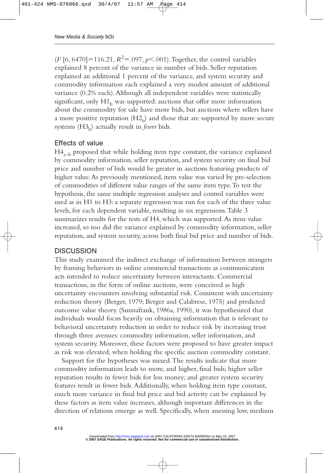$(F [6, 6470] = 116.21, R^2 = .097, p < .001)$ . Together, the control variables explained 8 percent of the variance in number of bids. Seller reputation explained an additional 1 percent of the variance, and system security and commodity information each explained a very modest amount of additional variance (0.2% each).Although all independent variables were statistically significant, only  $H1<sub>b</sub>$  was supported: auctions that offer more information about the commodity for sale have more bids, but auctions where sellers have a more positive reputation  $(H2<sub>b</sub>)$  and those that are supported by more secure systems  $(H3_h)$  actually result in *fewer* bids.

# Effects of value

 $H4_{a-b}$  proposed that while holding item type constant, the variance explained by commodity information, seller reputation, and system security on final bid price and number of bids would be greater in auctions featuring products of higher value.As previously mentioned, item value was varied by pre-selection of commodities of different value ranges of the same item type.To test the hypothesis, the same multiple regression analyses and control variables were used as in H1 to H3: a separate regression was run for each of the three value levels, for each dependent variable, resulting in six regressions.Table 3 summarizes results for the tests of H4, which was supported.As item value increased, so too did the variance explained by commodity information, seller reputation, and system security, across both final bid price and number of bids.

#### **DISCUSSION**

This study examined the indirect exchange of information between strangers by framing behaviors in online commercial transactions as communication acts intended to reduce uncertainty between interactants. Commercial transactions, in the form of online auctions, were conceived as high uncertainty encounters involving substantial risk. Consistent with uncertainty reduction theory (Berger, 1979; Berger and Calabrese, 1975) and predicted outcome value theory (Sunnafrank, 1986a, 1990), it was hypothesized that individuals would focus heavily on obtaining information that is relevant to behavioral uncertainty reduction in order to reduce risk by increasing trust through three avenues: commodity information, seller information, and system security. Moreover, these factors were proposed to have greater impact as risk was elevated, when holding the specific auction commodity constant.

Support for the hypotheses was mixed.The results indicate that more commodity information leads to more, and higher, final bids; higher seller reputation results in fewer bids for less money; and greater system security features result in fewer bids.Additionally, when holding item type constant, much more variance in final bid price and bid activity can be explained by these factors as item value increases, although important differences in the direction of relations emerge as well. Specifically, when assessing low, medium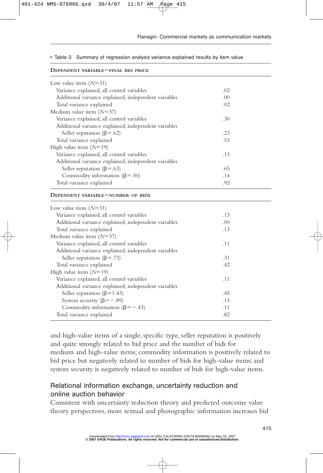|  | • Table 3 Summary of regression analysis variance explained results by item value |  |  |  |  |  |  |  |
|--|-----------------------------------------------------------------------------------|--|--|--|--|--|--|--|
|--|-----------------------------------------------------------------------------------|--|--|--|--|--|--|--|

| Dependent variable=final bid price                   |     |  |
|------------------------------------------------------|-----|--|
| Low value item $(N=31)$                              |     |  |
| Variance explained, all control variables            | .02 |  |
| Additional variance explained, independent variables | .00 |  |
| Total variance explained                             | .02 |  |
| Medium value item $(N=37)$                           |     |  |
| Variance explained, all control variables            | .30 |  |
| Additional variance explained, independent variables |     |  |
| Seller reputation ( $\beta$ =.62)                    | .23 |  |
| Total variance explained                             | .53 |  |
| High value item $(N=19)$                             |     |  |
| Variance explained, all control variables            | .13 |  |
| Additional variance explained, independent variables |     |  |
| Seller reputation ( $\beta$ =.63)                    | .65 |  |
| Commodity information ( $\beta$ =.50)                | .14 |  |
| Total variance explained                             | .92 |  |
| DEPENDENT VARIABLE=NUMBER OF BIDS                    |     |  |
| Low value item $(N=31)$                              |     |  |
| Variance explained, all control variables            | .13 |  |
| Additional variance explained, independent variables | .00 |  |
| Total variance explained                             | .13 |  |
| Medium value item $(N=37)$                           |     |  |
| Variance explained, all control variables            | .11 |  |
| Additional variance explained, independent variables |     |  |
| Seller reputation ( $\beta$ =.73)                    | .31 |  |
| Total variance explained                             | .42 |  |
| High value item $(N=19)$                             |     |  |
| Variance explained, all control variables            | .11 |  |
| Additional variance explained, independent variables |     |  |
| Seller reputation ( $\beta$ =1.43)                   | .45 |  |
| System security ( $\beta = -.89$ )                   | .15 |  |
| Commodity information ( $\beta$ = -.43)              | .11 |  |

and high-value items of a single, specific type, seller reputation is positively and quite strongly related to bid price and the number of bids for medium and high-value items; commodity information is positively related to bid price but negatively related to number of bids for high-value items; and system security is negatively related to number of bids for high-value items.

# Relational information exchange, uncertainty reduction and online auction behavior

Total variance explained .82

Consistent with uncertainty reduction theory and predicted outcome value theory perspectives, more textual and photographic information increases bid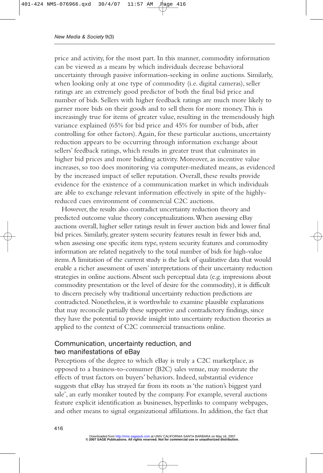price and activity, for the most part. In this manner, commodity information can be viewed as a means by which individuals decrease behavioral uncertainty through passive information-seeking in online auctions. Similarly, when looking only at one type of commodity (i.e. digital cameras), seller ratings are an extremely good predictor of both the final bid price and number of bids. Sellers with higher feedback ratings are much more likely to garner more bids on their goods and to sell them for more money.This is increasingly true for items of greater value, resulting in the tremendously high variance explained (65% for bid price and 45% for number of bids, after controlling for other factors).Again, for these particular auctions, uncertainty reduction appears to be occurring through information exchange about sellers' feedback ratings, which results in greater trust that culminates in higher bid prices and more bidding activity. Moreover, as incentive value increases, so too does monitoring via computer-mediated means, as evidenced by the increased impact of seller reputation. Overall, these results provide evidence for the existence of a communication market in which individuals are able to exchange relevant information effectively in spite of the highlyreduced cues environment of commercial C2C auctions.

However, the results also contradict uncertainty reduction theory and predicted outcome value theory conceptualizations.When assessing eBay auctions overall, higher seller ratings result in fewer auction bids and lower final bid prices. Similarly, greater system security features result in fewer bids and, when assessing one specific item type, system security features and commodity information are related negatively to the total number of bids for high-value items.A limitation of the current study is the lack of qualitative data that would enable a richer assessment of users' interpretations of their uncertainty reduction strategies in online auctions.Absent such perceptual data (e.g. impressions about commodity presentation or the level of desire for the commodity), it is difficult to discern precisely why traditional uncertainty reduction predictions are contradicted. Nonetheless, it is worthwhile to examine plausible explanations that may reconcile partially these supportive and contradictory findings, since they have the potential to provide insight into uncertainty reduction theories as applied to the context of C2C commercial transactions online.

#### Communication, uncertainty reduction, and two manifestations of eBay

Perceptions of the degree to which eBay is truly a C2C marketplace, as opposed to a business-to-consumer (B2C) sales venue, may moderate the effects of trust factors on buyers' behaviors. Indeed, substantial evidence suggests that eBay has strayed far from its roots as 'the nation's biggest yard sale', an early moniker touted by the company. For example, several auctions feature explicit identification as businesses, hyperlinks to company webpages, and other means to signal organizational affiliations. In addition, the fact that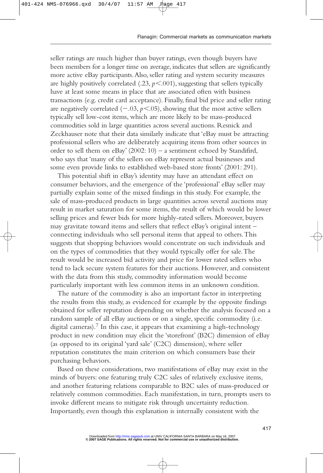seller ratings are much higher than buyer ratings, even though buyers have been members for a longer time on average, indicates that sellers are significantly more active eBay participants.Also, seller rating and system security measures are highly positively correlated  $(.23, p<.001)$ , suggesting that sellers typically have at least some means in place that are associated often with business transactions (e.g. credit card acceptance). Finally, final bid price and seller rating are negatively correlated  $(-.03, p<.05)$ , showing that the most active sellers typically sell low-cost items, which are more likely to be mass-produced commodities sold in large quantities across several auctions. Resnick and Zeckhauser note that their data similarly indicate that 'eBay must be attracting professional sellers who are deliberately acquiring items from other sources in order to sell them on eBay' (2002: 10) – a sentiment echoed by Standifird, who says that 'many of the sellers on eBay represent actual businesses and some even provide links to established web-based store fronts' (2001: 291).

This potential shift in eBay's identity may have an attendant effect on consumer behaviors, and the emergence of the 'professional' eBay seller may partially explain some of the mixed findings in this study. For example, the sale of mass-produced products in large quantities across several auctions may result in market saturation for some items, the result of which would be lower selling prices and fewer bids for more highly-rated sellers. Moreover, buyers may gravitate toward items and sellers that reflect eBay's original intent – connecting individuals who sell personal items that appeal to others.This suggests that shopping behaviors would concentrate on such individuals and on the types of commodities that they would typically offer for sale.The result would be increased bid activity and price for lower rated sellers who tend to lack secure system features for their auctions. However, and consistent with the data from this study, commodity information would become particularly important with less common items in an unknown condition.

The nature of the commodity is also an important factor in interpreting the results from this study, as evidenced for example by the opposite findings obtained for seller reputation depending on whether the analysis focused on a random sample of all eBay auctions or on a single, specific commodity (i.e. digital cameras).<sup>7</sup> In this case, it appears that examining a high-technology product in new condition may elicit the 'storefront' (B2C) dimension of eBay (as opposed to its original 'yard sale' (C2C) dimension), where seller reputation constitutes the main criterion on which consumers base their purchasing behaviors.

Based on these considerations, two manifestations of eBay may exist in the minds of buyers: one featuring truly C2C sales of relatively exclusive items, and another featuring relations comparable to B2C sales of mass-produced or relatively common commodities. Each manifestation, in turn, prompts users to invoke different means to mitigate risk through uncertainty reduction. Importantly, even though this explanation is internally consistent with the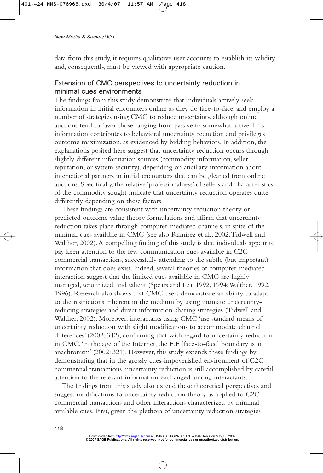data from this study, it requires qualitative user accounts to establish its validity and, consequently, must be viewed with appropriate caution.

# Extension of CMC perspectives to uncertainty reduction in minimal cues environments

The findings from this study demonstrate that individuals actively seek information in initial encounters online as they do face-to-face, and employ a number of strategies using CMC to reduce uncertainty, although online auctions tend to favor those ranging from passive to somewhat active.This information contributes to behavioral uncertainty reduction and privileges outcome maximization, as evidenced by bidding behaviors. In addition, the explanations posited here suggest that uncertainty reduction occurs through slightly different information sources (commodity information, seller reputation, or system security), depending on ancillary information about interactional partners in initial encounters that can be gleaned from online auctions. Specifically, the relative 'professionalness' of sellers and characteristics of the commodity sought indicate that uncertainty reduction operates quite differently depending on these factors.

These findings are consistent with uncertainty reduction theory or predicted outcome value theory formulations and affirm that uncertainty reduction takes place through computer-mediated channels, in spite of the minimal cues available in CMC (see also Ramirez et al., 2002;Tidwell and Walther, 2002). A compelling finding of this study is that individuals appear to pay keen attention to the few communication cues available in C2C commercial transactions, successfully attending to the subtle (but important) information that does exist. Indeed, several theories of computer-mediated interaction suggest that the limited cues available in CMC are highly managed, scrutinized, and salient (Spears and Lea, 1992, 1994;Walther, 1992, 1996). Research also shows that CMC users demonstrate an ability to adapt to the restrictions inherent in the medium by using intimate uncertaintyreducing strategies and direct information-sharing strategies (Tidwell and Walther, 2002). Moreover, interactants using CMC 'use standard means of uncertainty reduction with slight modifications to accommodate channel differences' (2002: 342), confirming that with regard to uncertainty reduction in CMC,'in the age of the Internet, the FtF [face-to-face] boundary is an anachronism' (2002: 321). However, this study extends these findings by demonstrating that in the grossly cues-impoverished environment of C2C commercial transactions, uncertainty reduction is still accomplished by careful attention to the relevant information exchanged among interactants.

The findings from this study also extend these theoretical perspectives and suggest modifications to uncertainty reduction theory as applied to C2C commercial transactions and other interactions characterized by minimal available cues. First, given the plethora of uncertainty reduction strategies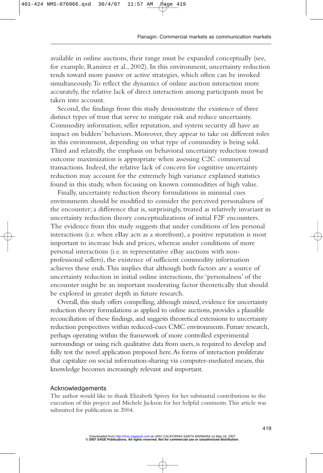available in online auctions, their range must be expanded conceptually (see, for example, Ramirez et al., 2002). In this environment, uncertainty reduction tends toward more passive or active strategies, which often can be invoked simultaneously.To reflect the dynamics of online auction interaction more accurately, the relative lack of direct interaction among participants must be taken into account.

Second, the findings from this study demonstrate the existence of three distinct types of trust that serve to mitigate risk and reduce uncertainty. Commodity information, seller reputation, and system security all have an impact on bidders' behaviors. Moreover, they appear to take on different roles in this environment, depending on what type of commodity is being sold. Third and relatedly, the emphasis on behavioral uncertainty reduction toward outcome maximization is appropriate when assessing C2C commercial transactions. Indeed, the relative lack of concern for cognitive uncertainty reduction may account for the extremely high variance explained statistics found in this study, when focusing on known commodities of high value.

Finally, uncertainty reduction theory formulations in minimal cues environments should be modified to consider the perceived personalness of the encounter; a difference that is, surprisingly, treated as relatively invariant in uncertainty reduction theory conceptualizations of initial F2F encounters. The evidence from this study suggests that under conditions of less personal interactions (i.e. when eBay acts as a storefront), a positive reputation is most important to increase bids and prices, whereas under conditions of more personal interactions (i.e. in representative eBay auctions with nonprofessional sellers), the existence of sufficient commodity information achieves these ends.This implies that although both factors are a source of uncertainty reduction in initial online interactions, the 'personalness' of the encounter might be an important moderating factor theoretically that should be explored in greater depth in future research.

Overall, this study offers compelling, although mixed, evidence for uncertainty reduction theory formulations as applied to online auctions, provides a plausible reconciliation of these findings, and suggests theoretical extensions to uncertainty reduction perspectives within reduced-cues CMC environments. Future research, perhaps operating within the framework of more controlled experimental surroundings or using rich qualitative data from users, is required to develop and fully test the novel application proposed here.As forms of interaction proliferate that capitalize on social information-sharing via computer-mediated means, this knowledge becomes increasingly relevant and important.

#### Acknowledgements

The author would like to thank Elizabeth Spivey for her substantial contributions to the execution of this project and Michele Jackson for her helpful comments.This article was submitted for publication in 2004.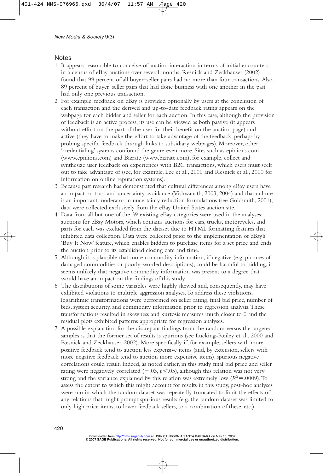#### **Notes**

- 1 It appears reasonable to conceive of auction interaction in terms of initial encounters: in a census of eBay auctions over several months, Resnick and Zeckhauser (2002) found that 99 percent of all buyer–seller pairs had no more than four transactions.Also, 89 percent of buyer–seller pairs that had done business with one another in the past had only one previous transaction.
- 2 For example, feedback on eBay is provided optionally by users at the conclusion of each transaction and the derived and up-to-date feedback rating appears on the webpage for each bidder and seller for each auction. In this case, although the provision of feedback is an active process, its use can be viewed as both passive (it appears without effort on the part of the user for their benefit on the auction page) and active (they have to make the effort to take advantage of the feedback, perhaps by probing specific feedback through links to subsidiary webpages). Moreover, other 'credentialing' systems confound the genre even more. Sites such as epinions.com (www.epinions.com) and Bizrate (www.bizrate.com), for example, collect and synthesize user feedback on experiences with B2C transactions, which users must seek out to take advantage of (see, for example, Lee et al., 2000 and Resnick et al., 2000 for information on online reputation systems).
- 3 Because past research has demonstrated that cultural differences among eBay users have an impact on trust and uncertainty avoidance (Vishwanath, 2003, 2004) and that culture is an important moderator in uncertainty reduction formulations (see Goldsmith, 2001), data were collected exclusively from the eBay United States auction site.
- 4 Data from all but one of the 39 existing eBay categories were used in the analyses: auctions for eBay Motors, which contains auctions for cars, trucks, motorcycles, and parts for each was excluded from the dataset due to HTML formatting features that inhibited data collection. Data were collected prior to the implementation of eBay's 'Buy It Now' feature, which enables bidders to purchase items for a set price and ends the auction prior to its established closing date and time.
- 5 Although it is plausible that more commodity information, if negative (e.g. pictures of damaged commodities or poorly-worded descriptions), could be harmful to bidding, it seems unlikely that negative commodity information was present to a degree that would have an impact on the findings of this study.
- 6 The distributions of some variables were highly skewed and, consequently, may have exhibited violations to multiple aggression analyses.To address these violations, logarithmic transformations were performed on seller rating, final bid price, number of bids, system security, and commodity information prior to regression analysis.These transformations resulted in skewness and kurtosis measures much closer to 0 and the residual plots exhibited patterns appropriate for regression analyses.
- 7 A possible explanation for the discrepant findings from the random versus the targeted samples is that the former set of results is spurious (see Lucking-Reiley et al., 2000 and Resnick and Zeckhauser, 2002). More specifically if, for example, sellers with more positive feedback tend to auction less expensive items (and, by extension, sellers with more negative feedback tend to auction more expensive items), spurious negative correlations could result. Indeed, as noted earlier, in this study final bid price and seller rating were negatively correlated  $(-.03, p<.05)$ , although this relation was not very strong and the variance explained by this relation was extremely low  $(R^2 = .0009)$ . To assess the extent to which this might account for results in this study, post-hoc analyses were run in which the random dataset was repeatedly truncated to limit the effects of any relations that might prompt spurious results (e.g. the random dataset was limited to only high price items, to lower feedback sellers, to a combination of these, etc.).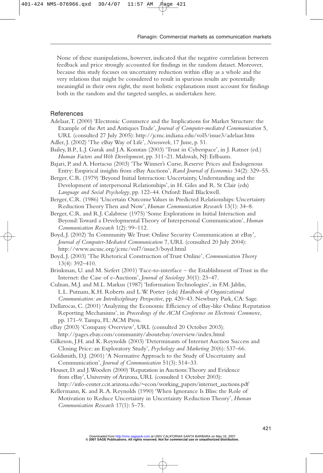None of these manipulations, however, indicated that the negative correlation between feedback and price strongly accounted for findings in the random dataset. Moreover, because this study focuses on uncertainty reduction within eBay as a whole and the very relations that might be considered to result in spurious results are potentially meaningful in their own right, the most holistic explanations must account for findings both in the random and the targeted samples, as undertaken here.

#### References

- Adelaar,T. (2000) 'Electronic Commerce and the Implications for Market Structure: the Example of the Art and Antiques Trade', *Journal of Computer-mediated Communication* 5, URL (consulted 27 July 2005):<http://jcmc.indiana.edu/vol5/issue3/adelaar.htm>
- Adler, J. (2002) 'The eBay Way of Life', *Newsweek*, 17 June, p. 51.
- Bailey, B.P., L.J. Gurak and J.A. Konstan (2003) 'Trust in Cyberspace', in J. Ratner (ed.) *Human Factors and Web Development*, pp. 311–21. Mahwah, NJ: Erlbaum.
- Bajari, P. and A. Hortacsu (2003) 'The Winner's Curse, Reserve Prices and Endogenous Entry: Empirical insights from eBay Auctions', *Rand Journal of Economics* 34(2): 329–55.
- Berger, C.R. (1979) 'Beyond Initial Interaction: Uncertainty, Understanding and the Development of interpersonal Relationships', in H. Giles and R. St Clair (eds) *Language and Social Psychology*, pp. 122–44. Oxford: Basil Blackwell.
- Berger, C.R. (1986) 'Uncertain Outcome Values in Predicted Relationships: Uncertainty Reduction Theory Then and Now', *Human Communication Research* 13(1): 34–8.
- Berger, C.R. and R.J. Calabrese (1975) 'Some Explorations in Initial Interaction and Beyond:Toward a Developmental Theory of Interpersonal Communication', *Human Communication Research* 1(2): 99–112.
- Boyd, J. (2002) 'In Community We Trust: Online Security Communication at eBay', *Journal of Computer-Mediated Communication* 7, URL (consulted 20 July 2004): <http://www.ascusc.org/jcmc/vol7/issue3/boyd.html>

Boyd, J. (2003) 'The Rhetorical Construction of Trust Online', *Communication Theory* 13(4): 392–410.

- Brinkman, U. and M. Siefert (2001) 'Face-to-interface the Establishment of Trust in the Internet: the Case of e-Auctions', *Journal of Sociology* 30(1): 23–47.
- Culnan, M.J. and M.L. Markus (1987) 'Information Technologies', in F.M. Jablin, L.L. Putnam, K.H. Roberts and L.W. Porter (eds) *Handbook of Organizational Communication: an Interdisciplinary Perspective*, pp. 420–43. Newbury Park, CA: Sage.
- Dellarocas, C. (2001) 'Analyzing the Economic Efficiency of eBay-like Online Reputation Reporting Mechanisms', in *Proceedings of the ACM Conference on Electronic Commerce*, pp. 171–9.Tampa, FL:ACM Press.
- eBay (2003) 'Company Overview', URL (consulted 20 October 2003): <http://pages.ebay.com/community/aboutebay/overview/index.html>
- Gilkeson, J.H. and K. Reynolds (2003) 'Determinants of Internet Auction Success and Closing Price: an Exploratory Study', *Psychology and Marketing* 20(6): 537–66.
- Goldsmith, D.J. (2001) 'A Normative Approach to the Study of Uncertainty and Communication', *Journal of Communication* 51(3): 514–33.
- Houser, D. and J.Wooders (2000) 'Reputation in Auctions:Theory and Evidence from eBay', University of Arizona, URL (consulted 1 October 2003): [http://info-center.ccit.arizona.edu/~econ/working\\_papers/internet\\_auctions.pdf](http://info-center.ccit.arizona.edu/~econ/working_papers/internet_auctions.pdf)
- Kellermann, K. and R.A. Reynolds (1990) 'When Ignorance Is Bliss: the Role of Motivation to Reduce Uncertainty in Uncertainty Reduction Theory', *Human Communication Research* 17(1): 5–75.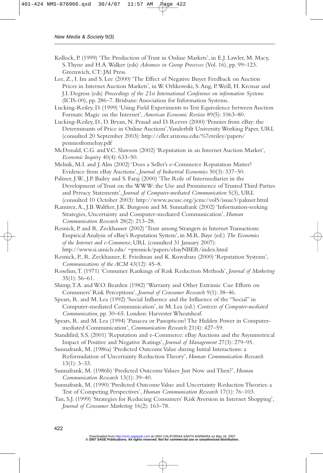- Kollock, P. (1999) 'The Production of Trust in Online Markets', in E.J. Lawler, M. Macy, S.Thyne and H.A.Walker (eds) *Advances in Group Processes* (Vol. 16), pp. 99–123. Greenwich, CT: JAI Press.
- Lee, Z., I. Im and S. Lee (2000) 'The Effect of Negative Buyer Feedback on Auction Prices in Internet Auction Markets', in W. Orlikowski, S.Ang, P.Weill, H. Krcmar and J.I. Degross (eds) *Proceedings of the 21st International Conference on information Systems* (ICIS-00), pp. 286–7. Brisbane:Association for Information Systems.
- Lucking-Reiley, D. (1999) 'Using Field Experiments to Test Equivalence between Auction Formats: Magic on the Internet', *American Economic Review* 89(5): 1063–80.
- Lucking-Reiley, D., D. Bryan, N. Prasad and D. Reeves (2000) 'Pennies from eBay: the Determinants of Price in Online Auctions',Vanderbilt University Working Paper, URL (consulted 20 September 2003):<http://eller.arizona.edu/%7ereiley/papers/> penniesfromebay.pdf
- McDonald, C.G. and V.C. Slawson (2002) 'Reputation in an Internet Auction Market', *Economic Inquiry* 40(4): 633–50.
- Melnik, M.I. and J.Alm (2002) 'Does a Seller's e-Commerce Reputation Matter? Evidence from eBay Auctions', *Journal of Industrial Economics* 50(3): 337–50.
- Palmer, J.W., J.P. Bailey and S. Faraj (2000) 'The Role of Intermediaries in the Development of Trust on the WWW: the Use and Prominence of Trusted Third Parties and Privacy Statements', *Journal of Computer-mediated Communication* 5(3), URL (consulted 10 October 2003):<http://www.ascusc.org/jcmc/vol5/issue3/palmer.html>
- Ramirez,A., J.B.Walther, J.K. Burgoon and M. Sunnafrank (2002) 'Information-seeking Strategies, Uncertainty and Computer-mediated Communication', *Human Communication Research* 28(2): 213–28.
- Resnick, P. and R. Zeckhauser (2002) 'Trust among Strangers in Internet Transactions: Empirical Analysis of eBay's Reputation System', in M.R. Baye (ed.) *The Economics of the Internet and e-Commerce*, URL (consulted 31 January 2007): <http://www.si.umich.edu/>~presnick/papers/ebayNBER/index.html
- Resnick, P., R. Zeckhauser, E. Friedman and K. Kuwabara (2000) 'Reputation Systems', *Communications of the ACM* 43(12): 45–8.
- Roselius,T. (1971) 'Consumer Rankings of Risk Reduction Methods', *Journal of Marketing* 35(1): 56–61.
- Shimp,T.A. and W.O. Bearden (1982) 'Warranty and Other Extrinsic Cue Efforts on Consumers' Risk Perceptions', *Journal of Consumer Research* 9(1): 38–46.
- Spears, R. and M. Lea (1992) 'Social Influence and the Influence of the "Social" in Computer-mediated Communication', in M. Lea (ed.) *Contexts of Computer-mediated Communication*, pp. 30–65. London: Harvester Wheatsheaf.
- Spears, R. and M. Lea (1994) 'Panacea or Panopticon? The Hidden Power in Computermediated Communication', *Communication Research* 21(4): 427–59.
- Standifird, S.S. (2001) 'Reputation and e-Commerce: eBay Auctions and the Asymmetrical Impact of Positive and Negative Ratings', *Journal of Management* 27(3): 279–95.
- Sunnafrank, M. (1986a) 'Predicted Outcome Value during Initial Interactions: a Reformulation of Uncertainty Reduction Theory', *Human Communication Research* 13(1): 3–33.
- Sunnafrank, M. (1986b) 'Predicted Outcome Values: Just Now and Then?', *Human Communication Research* 13(1): 39–40.
- Sunnafrank, M. (1990) 'Predicted Outcome Value and Uncertainty Reduction Theories: a Test of Competing Perspectives', *Human Communication Research* 17(1): 76–103.
- Tan, S.J. (1999) 'Strategies for Reducing Consumers' Risk Aversion in Internet Shopping', *Journal of Consumer Marketing* 16(2): 163–78.